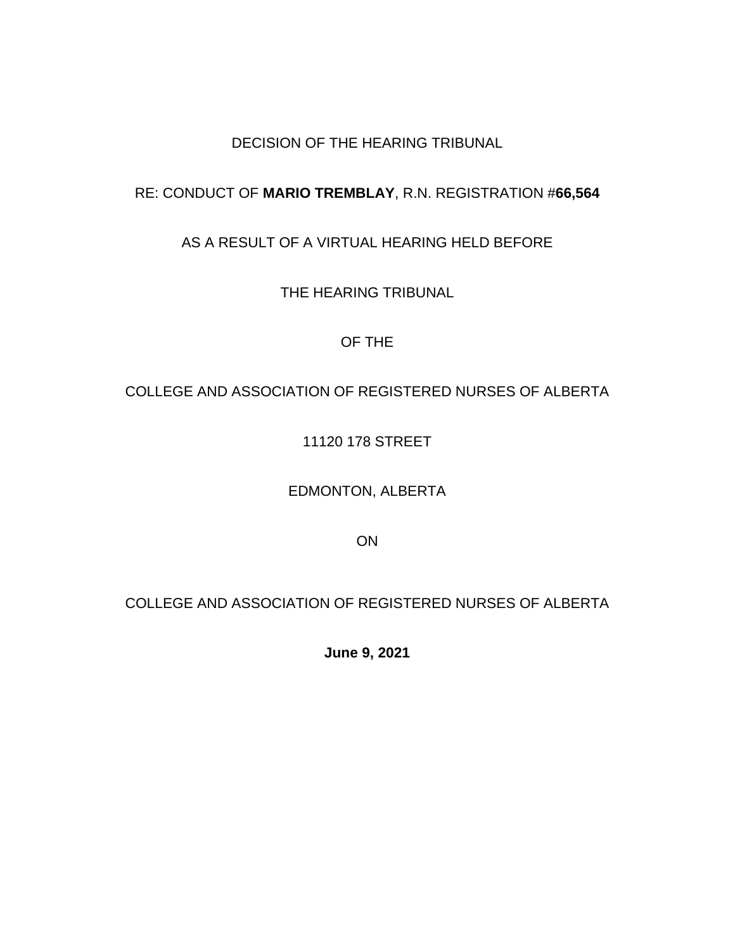# DECISION OF THE HEARING TRIBUNAL

# RE: CONDUCT OF **MARIO TREMBLAY**, R.N. REGISTRATION #**66,564**

# AS A RESULT OF A VIRTUAL HEARING HELD BEFORE

THE HEARING TRIBUNAL

## OF THE

# COLLEGE AND ASSOCIATION OF REGISTERED NURSES OF ALBERTA

# 11120 178 STREET

## EDMONTON, ALBERTA

ON

# COLLEGE AND ASSOCIATION OF REGISTERED NURSES OF ALBERTA

**June 9, 2021**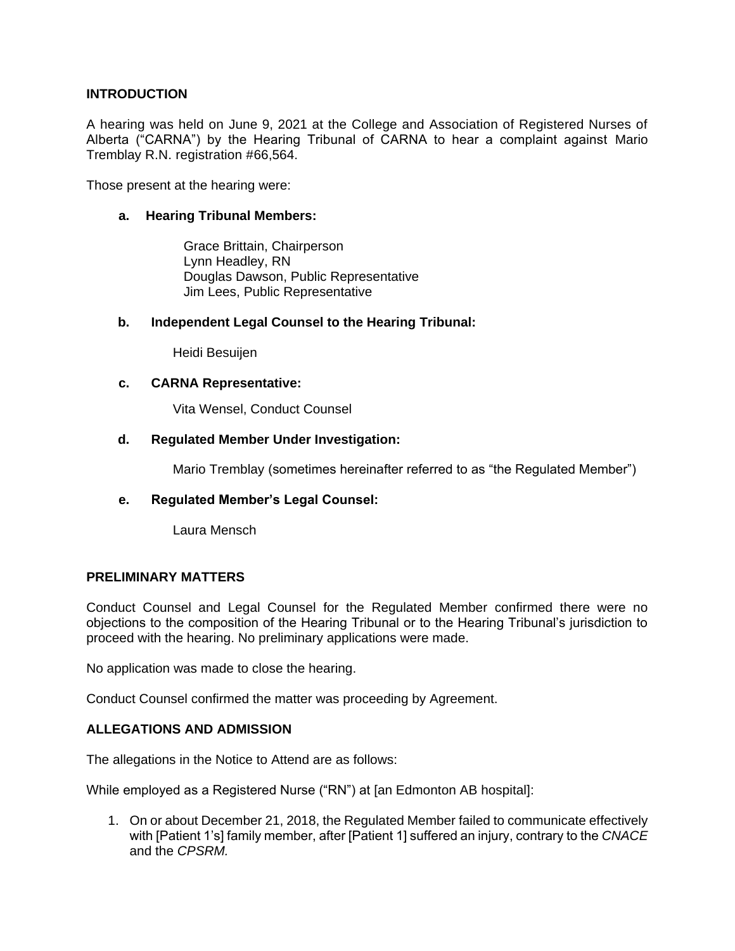## **INTRODUCTION**

A hearing was held on June 9, 2021 at the College and Association of Registered Nurses of Alberta ("CARNA") by the Hearing Tribunal of CARNA to hear a complaint against Mario Tremblay R.N. registration #66,564.

Those present at the hearing were:

## **a. Hearing Tribunal Members:**

Grace Brittain, Chairperson Lynn Headley, RN Douglas Dawson, Public Representative Jim Lees, Public Representative

## **b. Independent Legal Counsel to the Hearing Tribunal:**

Heidi Besuijen

## **c. CARNA Representative:**

Vita Wensel, Conduct Counsel

## **d. Regulated Member Under Investigation:**

Mario Tremblay (sometimes hereinafter referred to as "the Regulated Member")

## **e. Regulated Member's Legal Counsel:**

Laura Mensch

## **PRELIMINARY MATTERS**

Conduct Counsel and Legal Counsel for the Regulated Member confirmed there were no objections to the composition of the Hearing Tribunal or to the Hearing Tribunal's jurisdiction to proceed with the hearing. No preliminary applications were made.

No application was made to close the hearing.

Conduct Counsel confirmed the matter was proceeding by Agreement.

## **ALLEGATIONS AND ADMISSION**

The allegations in the Notice to Attend are as follows:

While employed as a Registered Nurse ("RN") at [an Edmonton AB hospital]:

1. On or about December 21, 2018, the Regulated Member failed to communicate effectively with [Patient 1's] family member, after [Patient 1] suffered an injury, contrary to the *CNACE* and the *CPSRM.*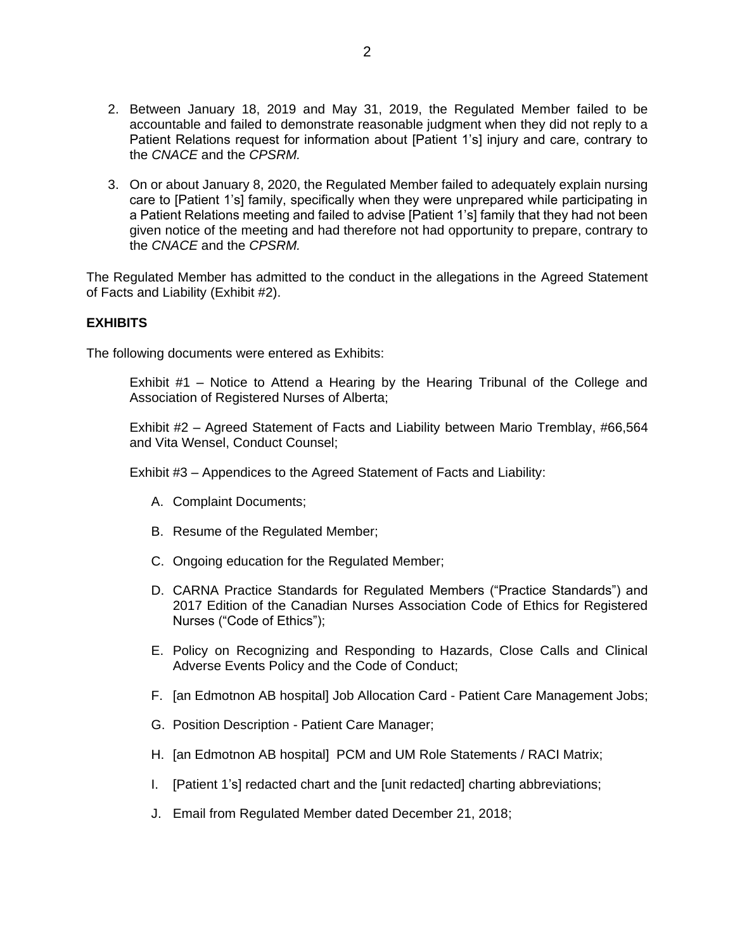- 2. Between January 18, 2019 and May 31, 2019, the Regulated Member failed to be accountable and failed to demonstrate reasonable judgment when they did not reply to a Patient Relations request for information about [Patient 1's] injury and care, contrary to the *CNACE* and the *CPSRM.*
- 3. On or about January 8, 2020, the Regulated Member failed to adequately explain nursing care to [Patient 1's] family, specifically when they were unprepared while participating in a Patient Relations meeting and failed to advise [Patient 1's] family that they had not been given notice of the meeting and had therefore not had opportunity to prepare, contrary to the *CNACE* and the *CPSRM.*

The Regulated Member has admitted to the conduct in the allegations in the Agreed Statement of Facts and Liability (Exhibit #2).

## **EXHIBITS**

The following documents were entered as Exhibits:

Exhibit #1 – Notice to Attend a Hearing by the Hearing Tribunal of the College and Association of Registered Nurses of Alberta;

Exhibit #2 – Agreed Statement of Facts and Liability between Mario Tremblay, #66,564 and Vita Wensel, Conduct Counsel;

Exhibit #3 – Appendices to the Agreed Statement of Facts and Liability:

- A. Complaint Documents;
- B. Resume of the Regulated Member;
- C. Ongoing education for the Regulated Member;
- D. CARNA Practice Standards for Regulated Members ("Practice Standards") and 2017 Edition of the Canadian Nurses Association Code of Ethics for Registered Nurses ("Code of Ethics");
- E. Policy on Recognizing and Responding to Hazards, Close Calls and Clinical Adverse Events Policy and the Code of Conduct;
- F. [an Edmotnon AB hospital] Job Allocation Card Patient Care Management Jobs;
- G. Position Description Patient Care Manager;
- H. [an Edmotnon AB hospital] PCM and UM Role Statements / RACI Matrix;
- I. [Patient 1's] redacted chart and the [unit redacted] charting abbreviations;
- J. Email from Regulated Member dated December 21, 2018;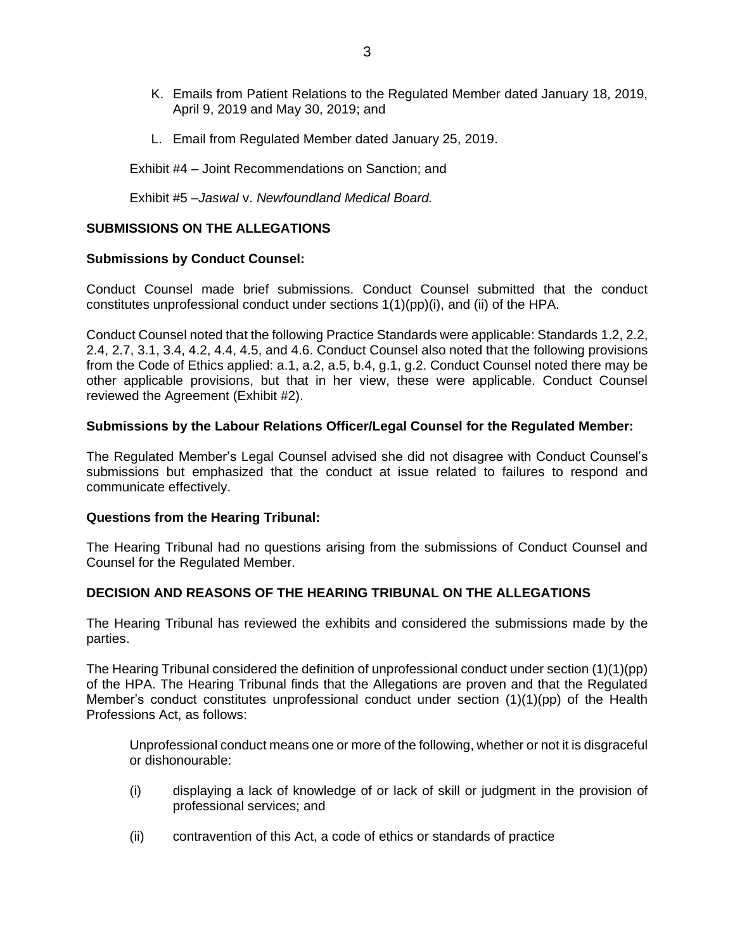- K. Emails from Patient Relations to the Regulated Member dated January 18, 2019, April 9, 2019 and May 30, 2019; and
- L. Email from Regulated Member dated January 25, 2019.

Exhibit #4 – Joint Recommendations on Sanction; and

Exhibit #5 –*Jaswal* v. *Newfoundland Medical Board.*

## **SUBMISSIONS ON THE ALLEGATIONS**

### **Submissions by Conduct Counsel:**

Conduct Counsel made brief submissions. Conduct Counsel submitted that the conduct constitutes unprofessional conduct under sections 1(1)(pp)(i), and (ii) of the HPA.

Conduct Counsel noted that the following Practice Standards were applicable: Standards 1.2, 2.2, 2.4, 2.7, 3.1, 3.4, 4.2, 4.4, 4.5, and 4.6. Conduct Counsel also noted that the following provisions from the Code of Ethics applied: a.1, a.2, a.5, b.4, g.1, g.2. Conduct Counsel noted there may be other applicable provisions, but that in her view, these were applicable. Conduct Counsel reviewed the Agreement (Exhibit #2).

### **Submissions by the Labour Relations Officer/Legal Counsel for the Regulated Member:**

The Regulated Member's Legal Counsel advised she did not disagree with Conduct Counsel's submissions but emphasized that the conduct at issue related to failures to respond and communicate effectively.

### **Questions from the Hearing Tribunal:**

The Hearing Tribunal had no questions arising from the submissions of Conduct Counsel and Counsel for the Regulated Member.

### **DECISION AND REASONS OF THE HEARING TRIBUNAL ON THE ALLEGATIONS**

The Hearing Tribunal has reviewed the exhibits and considered the submissions made by the parties.

The Hearing Tribunal considered the definition of unprofessional conduct under section (1)(1)(pp) of the HPA. The Hearing Tribunal finds that the Allegations are proven and that the Regulated Member's conduct constitutes unprofessional conduct under section (1)(1)(pp) of the Health Professions Act, as follows:

Unprofessional conduct means one or more of the following, whether or not it is disgraceful or dishonourable:

- (i) displaying a lack of knowledge of or lack of skill or judgment in the provision of professional services; and
- (ii) contravention of this Act, a code of ethics or standards of practice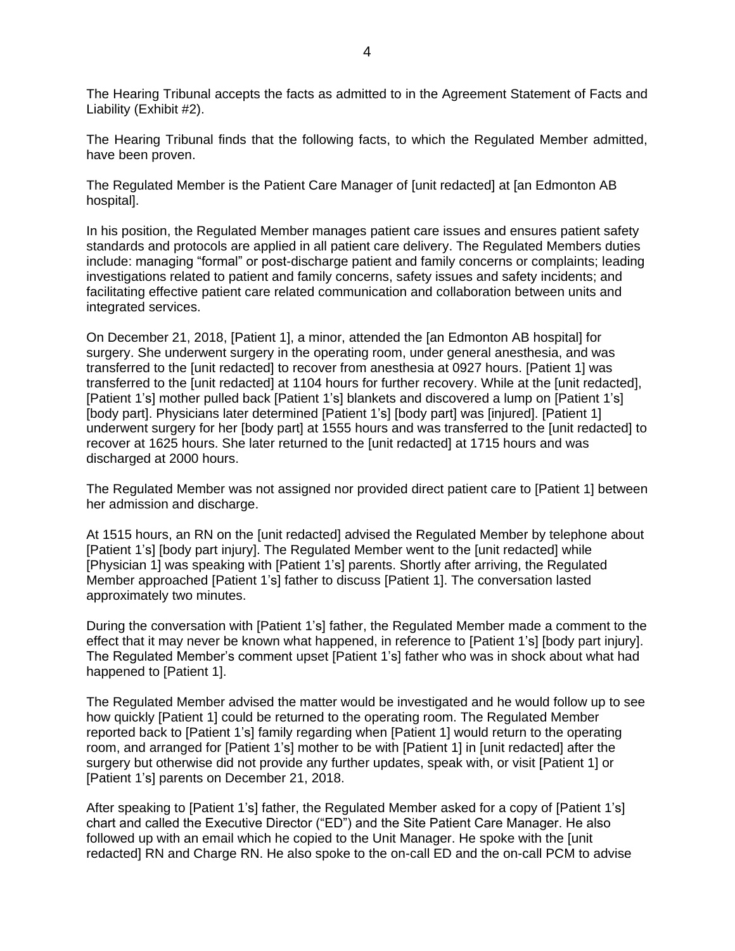The Hearing Tribunal accepts the facts as admitted to in the Agreement Statement of Facts and Liability (Exhibit #2).

The Hearing Tribunal finds that the following facts, to which the Regulated Member admitted, have been proven.

The Regulated Member is the Patient Care Manager of [unit redacted] at [an Edmonton AB hospital].

In his position, the Regulated Member manages patient care issues and ensures patient safety standards and protocols are applied in all patient care delivery. The Regulated Members duties include: managing "formal" or post-discharge patient and family concerns or complaints; leading investigations related to patient and family concerns, safety issues and safety incidents; and facilitating effective patient care related communication and collaboration between units and integrated services.

On December 21, 2018, [Patient 1], a minor, attended the [an Edmonton AB hospital] for surgery. She underwent surgery in the operating room, under general anesthesia, and was transferred to the [unit redacted] to recover from anesthesia at 0927 hours. [Patient 1] was transferred to the [unit redacted] at 1104 hours for further recovery. While at the [unit redacted], [Patient 1's] mother pulled back [Patient 1's] blankets and discovered a lump on [Patient 1's] [body part]. Physicians later determined [Patient 1's] [body part] was [injured]. [Patient 1] underwent surgery for her [body part] at 1555 hours and was transferred to the [unit redacted] to recover at 1625 hours. She later returned to the [unit redacted] at 1715 hours and was discharged at 2000 hours.

The Regulated Member was not assigned nor provided direct patient care to [Patient 1] between her admission and discharge.

At 1515 hours, an RN on the [unit redacted] advised the Regulated Member by telephone about [Patient 1's] [body part injury]. The Regulated Member went to the [unit redacted] while [Physician 1] was speaking with [Patient 1's] parents. Shortly after arriving, the Regulated Member approached [Patient 1's] father to discuss [Patient 1]. The conversation lasted approximately two minutes.

During the conversation with [Patient 1's] father, the Regulated Member made a comment to the effect that it may never be known what happened, in reference to [Patient 1's] [body part injury]. The Regulated Member's comment upset [Patient 1's] father who was in shock about what had happened to [Patient 1].

The Regulated Member advised the matter would be investigated and he would follow up to see how quickly [Patient 1] could be returned to the operating room. The Regulated Member reported back to [Patient 1's] family regarding when [Patient 1] would return to the operating room, and arranged for [Patient 1's] mother to be with [Patient 1] in [unit redacted] after the surgery but otherwise did not provide any further updates, speak with, or visit [Patient 1] or [Patient 1's] parents on December 21, 2018.

After speaking to [Patient 1's] father, the Regulated Member asked for a copy of [Patient 1's] chart and called the Executive Director ("ED") and the Site Patient Care Manager. He also followed up with an email which he copied to the Unit Manager. He spoke with the [unit redacted] RN and Charge RN. He also spoke to the on-call ED and the on-call PCM to advise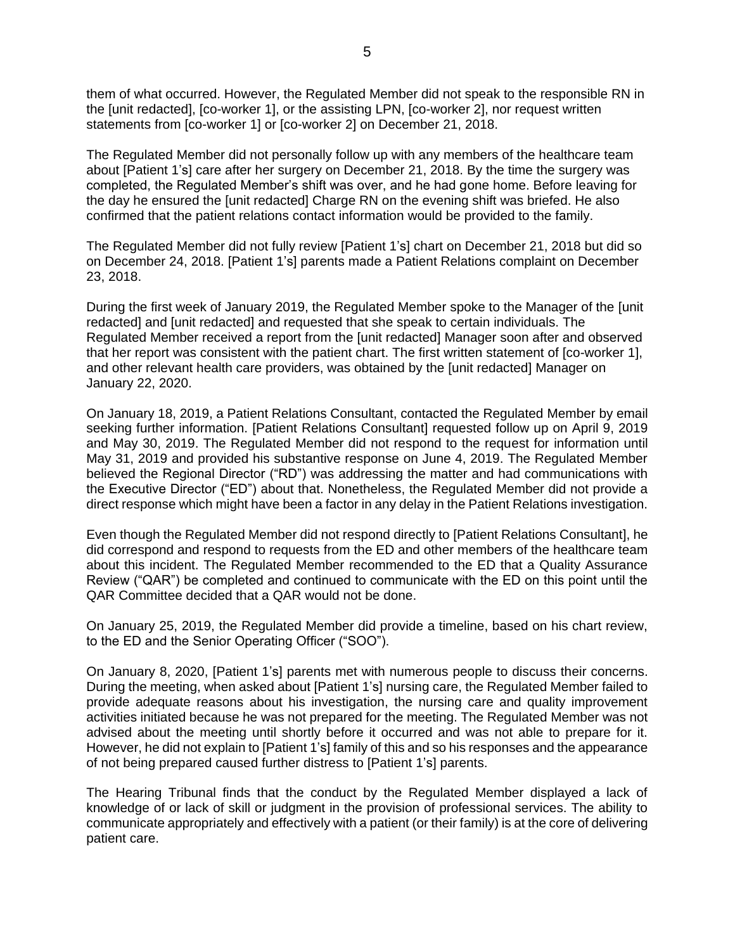them of what occurred. However, the Regulated Member did not speak to the responsible RN in the [unit redacted], [co-worker 1], or the assisting LPN, [co-worker 2], nor request written statements from [co-worker 1] or [co-worker 2] on December 21, 2018.

The Regulated Member did not personally follow up with any members of the healthcare team about [Patient 1's] care after her surgery on December 21, 2018. By the time the surgery was completed, the Regulated Member's shift was over, and he had gone home. Before leaving for the day he ensured the [unit redacted] Charge RN on the evening shift was briefed. He also confirmed that the patient relations contact information would be provided to the family.

The Regulated Member did not fully review [Patient 1's] chart on December 21, 2018 but did so on December 24, 2018. [Patient 1's] parents made a Patient Relations complaint on December 23, 2018.

During the first week of January 2019, the Regulated Member spoke to the Manager of the [unit redacted] and [unit redacted] and requested that she speak to certain individuals. The Regulated Member received a report from the [unit redacted] Manager soon after and observed that her report was consistent with the patient chart. The first written statement of [co-worker 1], and other relevant health care providers, was obtained by the [unit redacted] Manager on January 22, 2020.

On January 18, 2019, a Patient Relations Consultant, contacted the Regulated Member by email seeking further information. [Patient Relations Consultant] requested follow up on April 9, 2019 and May 30, 2019. The Regulated Member did not respond to the request for information until May 31, 2019 and provided his substantive response on June 4, 2019. The Regulated Member believed the Regional Director ("RD") was addressing the matter and had communications with the Executive Director ("ED") about that. Nonetheless, the Regulated Member did not provide a direct response which might have been a factor in any delay in the Patient Relations investigation.

Even though the Regulated Member did not respond directly to [Patient Relations Consultant], he did correspond and respond to requests from the ED and other members of the healthcare team about this incident. The Regulated Member recommended to the ED that a Quality Assurance Review ("QAR") be completed and continued to communicate with the ED on this point until the QAR Committee decided that a QAR would not be done.

On January 25, 2019, the Regulated Member did provide a timeline, based on his chart review, to the ED and the Senior Operating Officer ("SOO").

On January 8, 2020, [Patient 1's] parents met with numerous people to discuss their concerns. During the meeting, when asked about [Patient 1's] nursing care, the Regulated Member failed to provide adequate reasons about his investigation, the nursing care and quality improvement activities initiated because he was not prepared for the meeting. The Regulated Member was not advised about the meeting until shortly before it occurred and was not able to prepare for it. However, he did not explain to [Patient 1's] family of this and so his responses and the appearance of not being prepared caused further distress to [Patient 1's] parents.

The Hearing Tribunal finds that the conduct by the Regulated Member displayed a lack of knowledge of or lack of skill or judgment in the provision of professional services. The ability to communicate appropriately and effectively with a patient (or their family) is at the core of delivering patient care.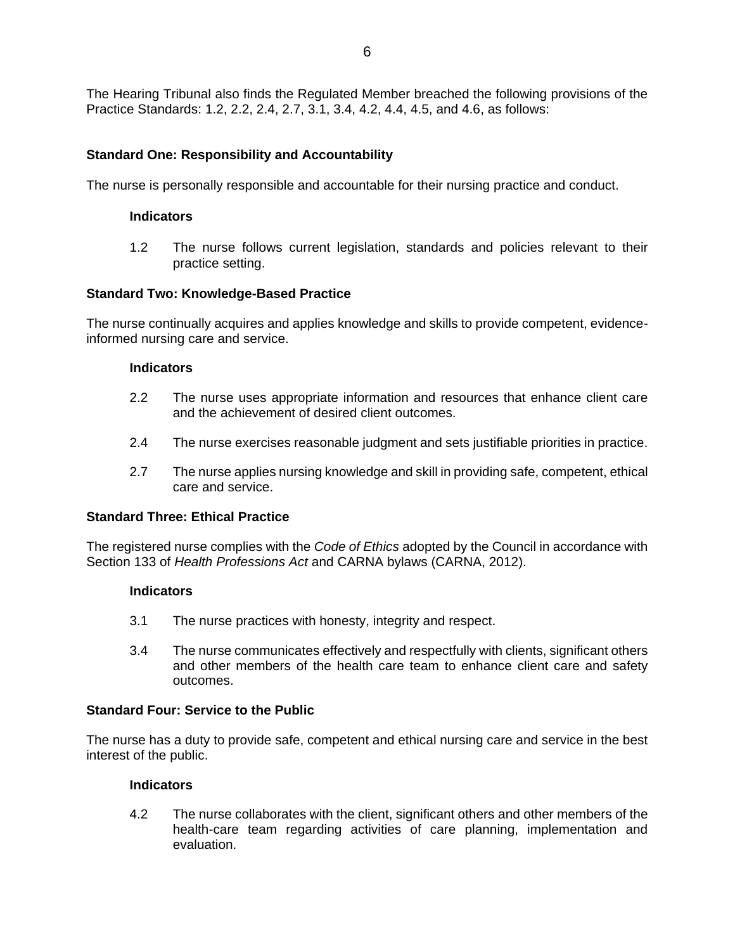The Hearing Tribunal also finds the Regulated Member breached the following provisions of the Practice Standards: 1.2, 2.2, 2.4, 2.7, 3.1, 3.4, 4.2, 4.4, 4.5, and 4.6, as follows:

## **Standard One: Responsibility and Accountability**

The nurse is personally responsible and accountable for their nursing practice and conduct.

#### **Indicators**

1.2 The nurse follows current legislation, standards and policies relevant to their practice setting.

### **Standard Two: Knowledge-Based Practice**

The nurse continually acquires and applies knowledge and skills to provide competent, evidenceinformed nursing care and service.

#### **Indicators**

- 2.2 The nurse uses appropriate information and resources that enhance client care and the achievement of desired client outcomes.
- 2.4 The nurse exercises reasonable judgment and sets justifiable priorities in practice.
- 2.7 The nurse applies nursing knowledge and skill in providing safe, competent, ethical care and service.

### **Standard Three: Ethical Practice**

The registered nurse complies with the *Code of Ethics* adopted by the Council in accordance with Section 133 of *Health Professions Act* and CARNA bylaws (CARNA, 2012).

#### **Indicators**

- 3.1 The nurse practices with honesty, integrity and respect.
- 3.4 The nurse communicates effectively and respectfully with clients, significant others and other members of the health care team to enhance client care and safety outcomes.

## **Standard Four: Service to the Public**

The nurse has a duty to provide safe, competent and ethical nursing care and service in the best interest of the public.

#### **Indicators**

4.2 The nurse collaborates with the client, significant others and other members of the health-care team regarding activities of care planning, implementation and evaluation.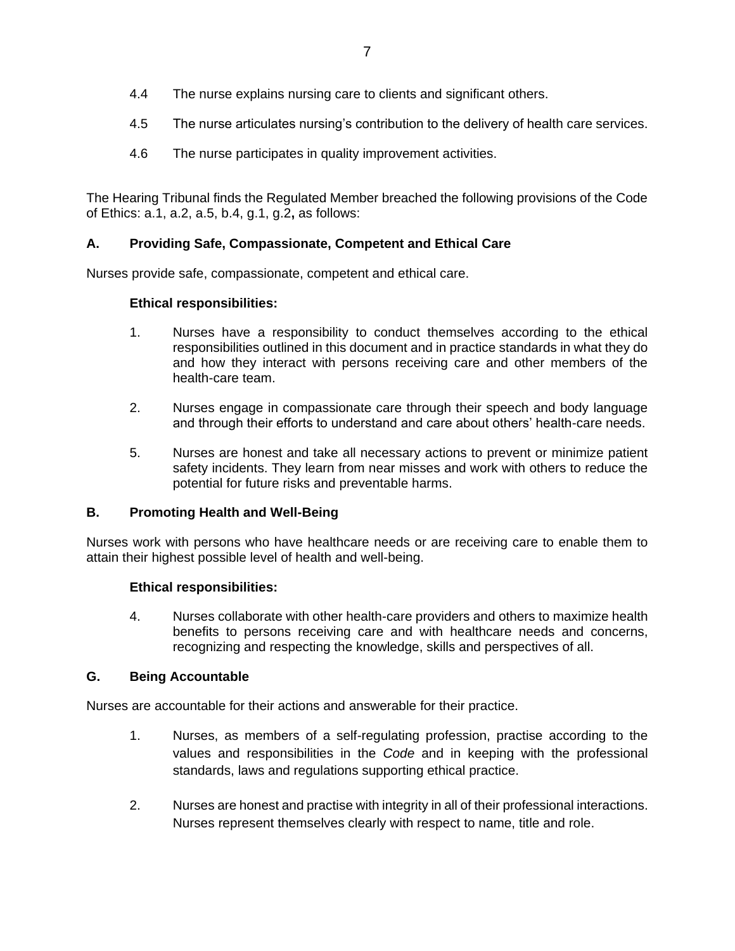- 4.4 The nurse explains nursing care to clients and significant others.
- 4.5 The nurse articulates nursing's contribution to the delivery of health care services.
- 4.6 The nurse participates in quality improvement activities.

The Hearing Tribunal finds the Regulated Member breached the following provisions of the Code of Ethics: a.1, a.2, a.5, b.4, g.1, g.2**,** as follows:

## **A. Providing Safe, Compassionate, Competent and Ethical Care**

Nurses provide safe, compassionate, competent and ethical care.

## **Ethical responsibilities:**

- 1. Nurses have a responsibility to conduct themselves according to the ethical responsibilities outlined in this document and in practice standards in what they do and how they interact with persons receiving care and other members of the health-care team.
- 2. Nurses engage in compassionate care through their speech and body language and through their efforts to understand and care about others' health-care needs.
- 5. Nurses are honest and take all necessary actions to prevent or minimize patient safety incidents. They learn from near misses and work with others to reduce the potential for future risks and preventable harms.

## **B. Promoting Health and Well-Being**

Nurses work with persons who have healthcare needs or are receiving care to enable them to attain their highest possible level of health and well-being.

## **Ethical responsibilities:**

4. Nurses collaborate with other health-care providers and others to maximize health benefits to persons receiving care and with healthcare needs and concerns, recognizing and respecting the knowledge, skills and perspectives of all.

### **G. Being Accountable**

Nurses are accountable for their actions and answerable for their practice.

- 1. Nurses, as members of a self-regulating profession, practise according to the values and responsibilities in the *Code* and in keeping with the professional standards, laws and regulations supporting ethical practice.
- 2. Nurses are honest and practise with integrity in all of their professional interactions. Nurses represent themselves clearly with respect to name, title and role.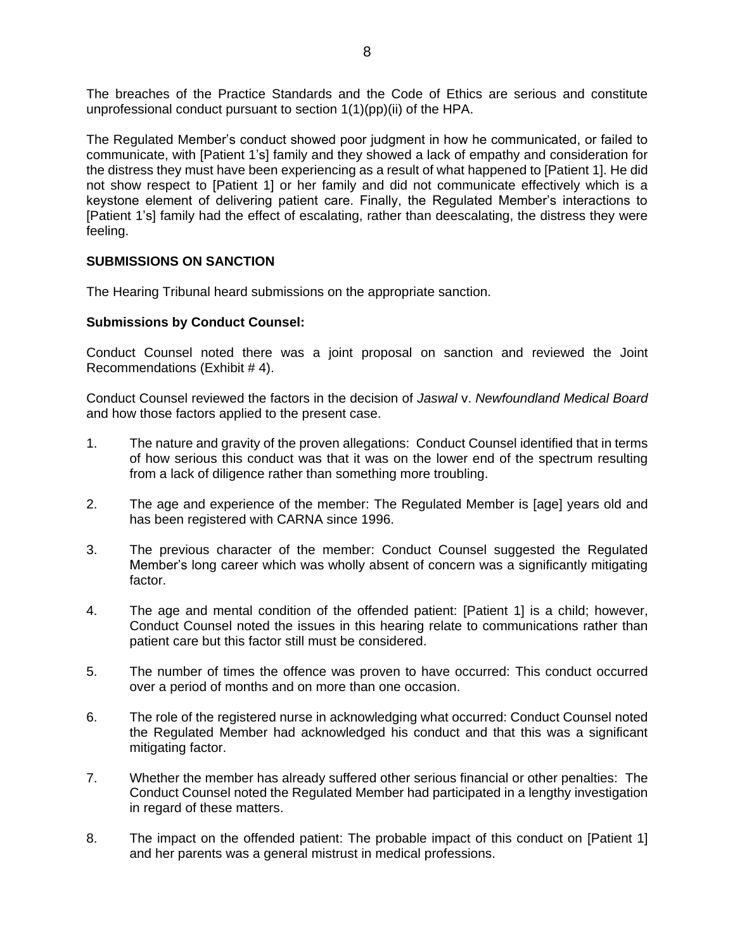The breaches of the Practice Standards and the Code of Ethics are serious and constitute unprofessional conduct pursuant to section 1(1)(pp)(ii) of the HPA.

The Regulated Member's conduct showed poor judgment in how he communicated, or failed to communicate, with [Patient 1's] family and they showed a lack of empathy and consideration for the distress they must have been experiencing as a result of what happened to [Patient 1]. He did not show respect to [Patient 1] or her family and did not communicate effectively which is a keystone element of delivering patient care. Finally, the Regulated Member's interactions to [Patient 1's] family had the effect of escalating, rather than deescalating, the distress they were feeling.

## **SUBMISSIONS ON SANCTION**

The Hearing Tribunal heard submissions on the appropriate sanction.

### **Submissions by Conduct Counsel:**

Conduct Counsel noted there was a joint proposal on sanction and reviewed the Joint Recommendations (Exhibit # 4).

Conduct Counsel reviewed the factors in the decision of *Jaswal* v. *Newfoundland Medical Board* and how those factors applied to the present case.

- 1. The nature and gravity of the proven allegations: Conduct Counsel identified that in terms of how serious this conduct was that it was on the lower end of the spectrum resulting from a lack of diligence rather than something more troubling.
- 2. The age and experience of the member: The Regulated Member is [age] years old and has been registered with CARNA since 1996.
- 3. The previous character of the member: Conduct Counsel suggested the Regulated Member's long career which was wholly absent of concern was a significantly mitigating factor.
- 4. The age and mental condition of the offended patient: [Patient 1] is a child; however, Conduct Counsel noted the issues in this hearing relate to communications rather than patient care but this factor still must be considered.
- 5. The number of times the offence was proven to have occurred: This conduct occurred over a period of months and on more than one occasion.
- 6. The role of the registered nurse in acknowledging what occurred: Conduct Counsel noted the Regulated Member had acknowledged his conduct and that this was a significant mitigating factor.
- 7. Whether the member has already suffered other serious financial or other penalties: The Conduct Counsel noted the Regulated Member had participated in a lengthy investigation in regard of these matters.
- 8. The impact on the offended patient: The probable impact of this conduct on [Patient 1] and her parents was a general mistrust in medical professions.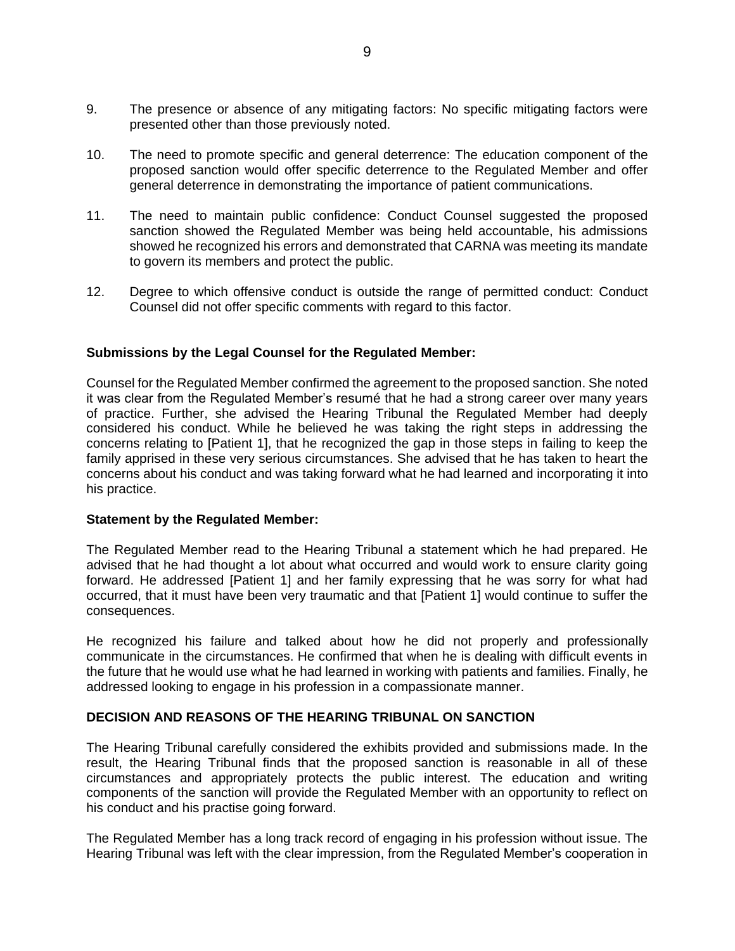- 9. The presence or absence of any mitigating factors: No specific mitigating factors were presented other than those previously noted.
- 10. The need to promote specific and general deterrence: The education component of the proposed sanction would offer specific deterrence to the Regulated Member and offer general deterrence in demonstrating the importance of patient communications.
- 11. The need to maintain public confidence: Conduct Counsel suggested the proposed sanction showed the Regulated Member was being held accountable, his admissions showed he recognized his errors and demonstrated that CARNA was meeting its mandate to govern its members and protect the public.
- 12. Degree to which offensive conduct is outside the range of permitted conduct: Conduct Counsel did not offer specific comments with regard to this factor.

### **Submissions by the Legal Counsel for the Regulated Member:**

Counsel for the Regulated Member confirmed the agreement to the proposed sanction. She noted it was clear from the Regulated Member's resumé that he had a strong career over many years of practice. Further, she advised the Hearing Tribunal the Regulated Member had deeply considered his conduct. While he believed he was taking the right steps in addressing the concerns relating to [Patient 1], that he recognized the gap in those steps in failing to keep the family apprised in these very serious circumstances. She advised that he has taken to heart the concerns about his conduct and was taking forward what he had learned and incorporating it into his practice.

#### **Statement by the Regulated Member:**

The Regulated Member read to the Hearing Tribunal a statement which he had prepared. He advised that he had thought a lot about what occurred and would work to ensure clarity going forward. He addressed [Patient 1] and her family expressing that he was sorry for what had occurred, that it must have been very traumatic and that [Patient 1] would continue to suffer the consequences.

He recognized his failure and talked about how he did not properly and professionally communicate in the circumstances. He confirmed that when he is dealing with difficult events in the future that he would use what he had learned in working with patients and families. Finally, he addressed looking to engage in his profession in a compassionate manner.

#### **DECISION AND REASONS OF THE HEARING TRIBUNAL ON SANCTION**

The Hearing Tribunal carefully considered the exhibits provided and submissions made. In the result, the Hearing Tribunal finds that the proposed sanction is reasonable in all of these circumstances and appropriately protects the public interest. The education and writing components of the sanction will provide the Regulated Member with an opportunity to reflect on his conduct and his practise going forward.

The Regulated Member has a long track record of engaging in his profession without issue. The Hearing Tribunal was left with the clear impression, from the Regulated Member's cooperation in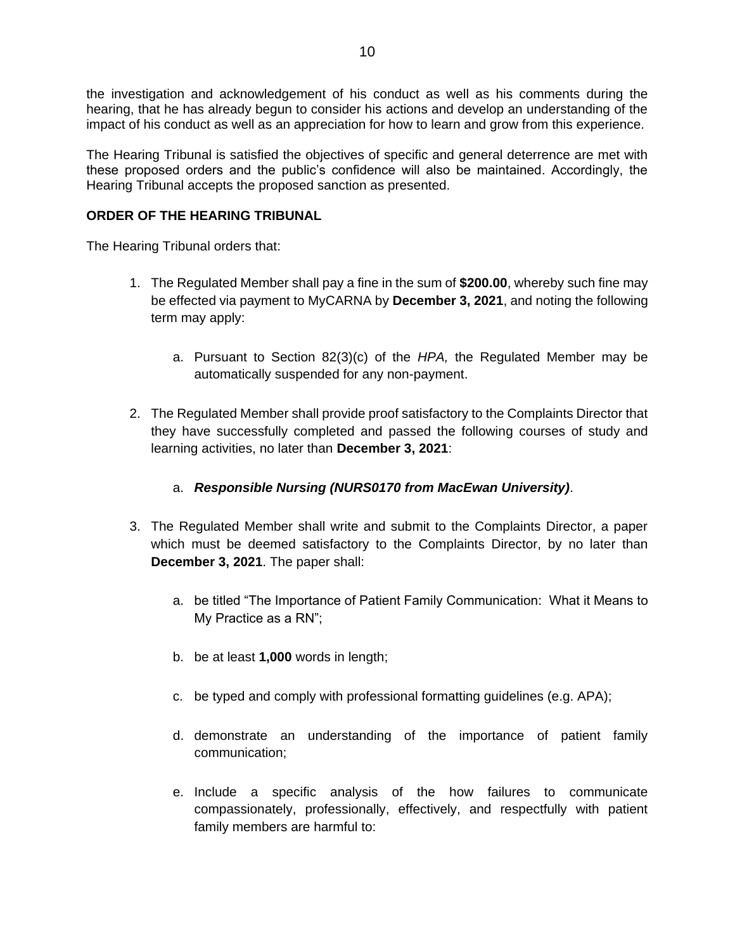the investigation and acknowledgement of his conduct as well as his comments during the hearing, that he has already begun to consider his actions and develop an understanding of the impact of his conduct as well as an appreciation for how to learn and grow from this experience.

The Hearing Tribunal is satisfied the objectives of specific and general deterrence are met with these proposed orders and the public's confidence will also be maintained. Accordingly, the Hearing Tribunal accepts the proposed sanction as presented.

## **ORDER OF THE HEARING TRIBUNAL**

The Hearing Tribunal orders that:

- 1. The Regulated Member shall pay a fine in the sum of **\$200.00**, whereby such fine may be effected via payment to MyCARNA by **December 3, 2021**, and noting the following term may apply:
	- a. Pursuant to Section 82(3)(c) of the *HPA,* the Regulated Member may be automatically suspended for any non-payment.
- 2. The Regulated Member shall provide proof satisfactory to the Complaints Director that they have successfully completed and passed the following courses of study and learning activities, no later than **December 3, 2021**:

## a. *Responsible Nursing (NURS0170 from MacEwan University)*.

- 3. The Regulated Member shall write and submit to the Complaints Director, a paper which must be deemed satisfactory to the Complaints Director, by no later than **December 3, 2021**. The paper shall:
	- a. be titled "The Importance of Patient Family Communication: What it Means to My Practice as a RN";
	- b. be at least **1,000** words in length;
	- c. be typed and comply with professional formatting guidelines (e.g. APA);
	- d. demonstrate an understanding of the importance of patient family communication;
	- e. Include a specific analysis of the how failures to communicate compassionately, professionally, effectively, and respectfully with patient family members are harmful to: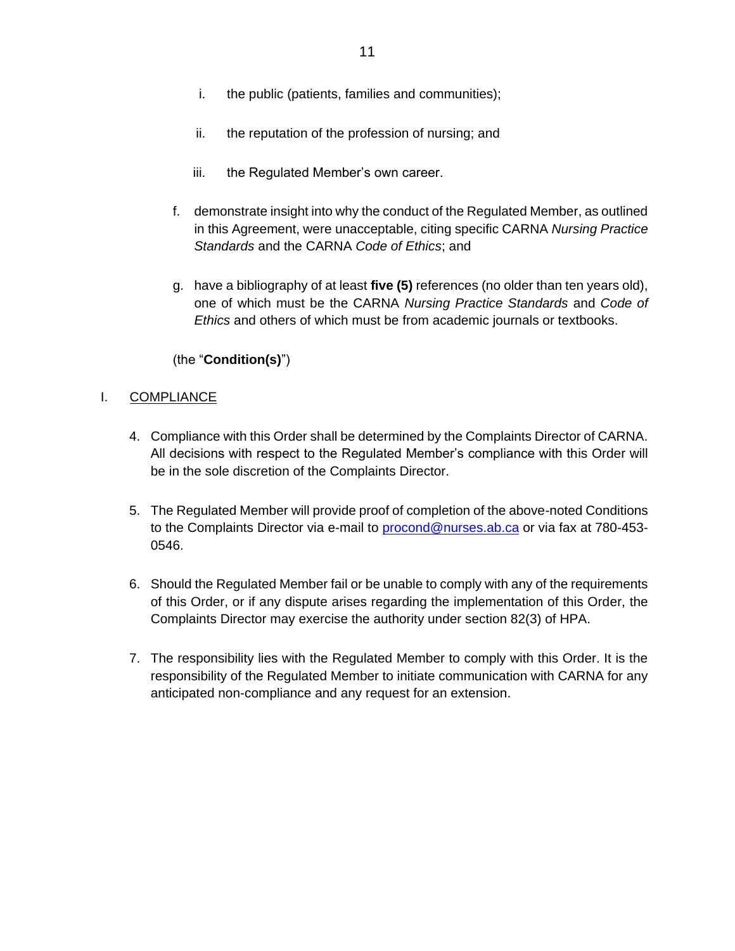- i. the public (patients, families and communities);
- ii. the reputation of the profession of nursing; and
- iii. the Regulated Member's own career.
- f. demonstrate insight into why the conduct of the Regulated Member, as outlined in this Agreement, were unacceptable, citing specific CARNA *Nursing Practice Standards* and the CARNA *Code of Ethics*; and
- g. have a bibliography of at least **five (5)** references (no older than ten years old), one of which must be the CARNA *Nursing Practice Standards* and *Code of Ethics* and others of which must be from academic journals or textbooks.

## (the "**Condition(s)**")

### I. COMPLIANCE

- 4. Compliance with this Order shall be determined by the Complaints Director of CARNA. All decisions with respect to the Regulated Member's compliance with this Order will be in the sole discretion of the Complaints Director.
- 5. The Regulated Member will provide proof of completion of the above-noted Conditions to the Complaints Director via e-mail to **procond@nurses.ab.ca** or via fax at 780-453-0546.
- 6. Should the Regulated Member fail or be unable to comply with any of the requirements of this Order, or if any dispute arises regarding the implementation of this Order, the Complaints Director may exercise the authority under section 82(3) of HPA.
- 7. The responsibility lies with the Regulated Member to comply with this Order. It is the responsibility of the Regulated Member to initiate communication with CARNA for any anticipated non-compliance and any request for an extension.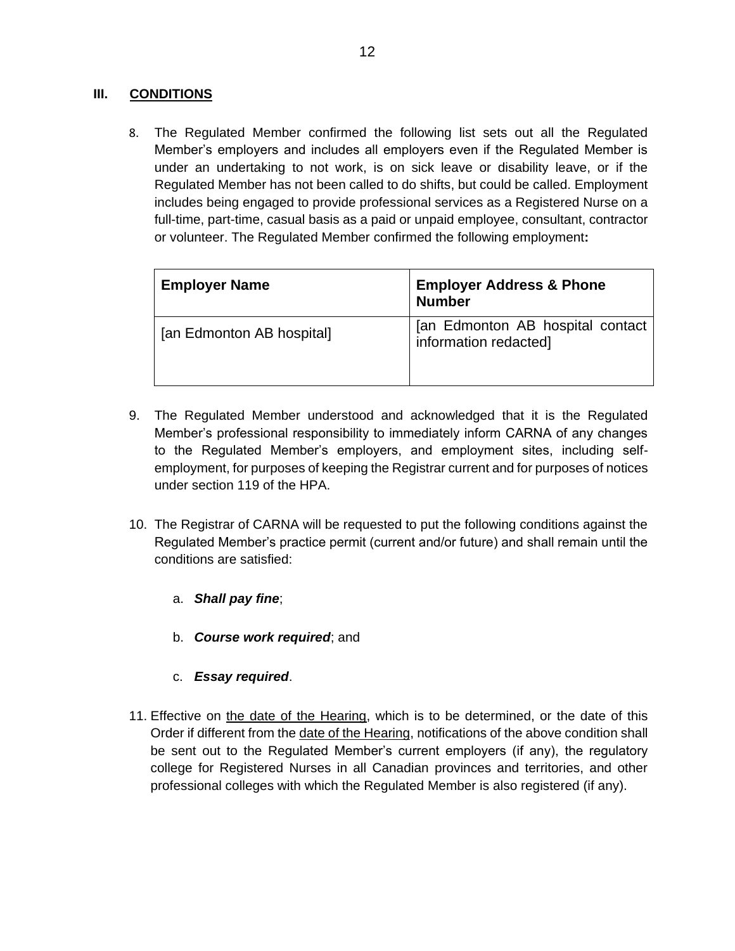## **III. CONDITIONS**

8. The Regulated Member confirmed the following list sets out all the Regulated Member's employers and includes all employers even if the Regulated Member is under an undertaking to not work, is on sick leave or disability leave, or if the Regulated Member has not been called to do shifts, but could be called. Employment includes being engaged to provide professional services as a Registered Nurse on a full-time, part-time, casual basis as a paid or unpaid employee, consultant, contractor or volunteer. The Regulated Member confirmed the following employment**:**

| <b>Employer Name</b>      | <b>Employer Address &amp; Phone</b><br><b>Number</b>      |
|---------------------------|-----------------------------------------------------------|
| [an Edmonton AB hospital] | [an Edmonton AB hospital contact<br>information redacted] |
|                           |                                                           |

- 9. The Regulated Member understood and acknowledged that it is the Regulated Member's professional responsibility to immediately inform CARNA of any changes to the Regulated Member's employers, and employment sites, including selfemployment, for purposes of keeping the Registrar current and for purposes of notices under section 119 of the HPA.
- 10. The Registrar of CARNA will be requested to put the following conditions against the Regulated Member's practice permit (current and/or future) and shall remain until the conditions are satisfied:
	- a. *Shall pay fine*;
	- b. *Course work required*; and
	- c. *Essay required*.
- 11. Effective on the date of the Hearing, which is to be determined, or the date of this Order if different from the date of the Hearing, notifications of the above condition shall be sent out to the Regulated Member's current employers (if any), the regulatory college for Registered Nurses in all Canadian provinces and territories, and other professional colleges with which the Regulated Member is also registered (if any).